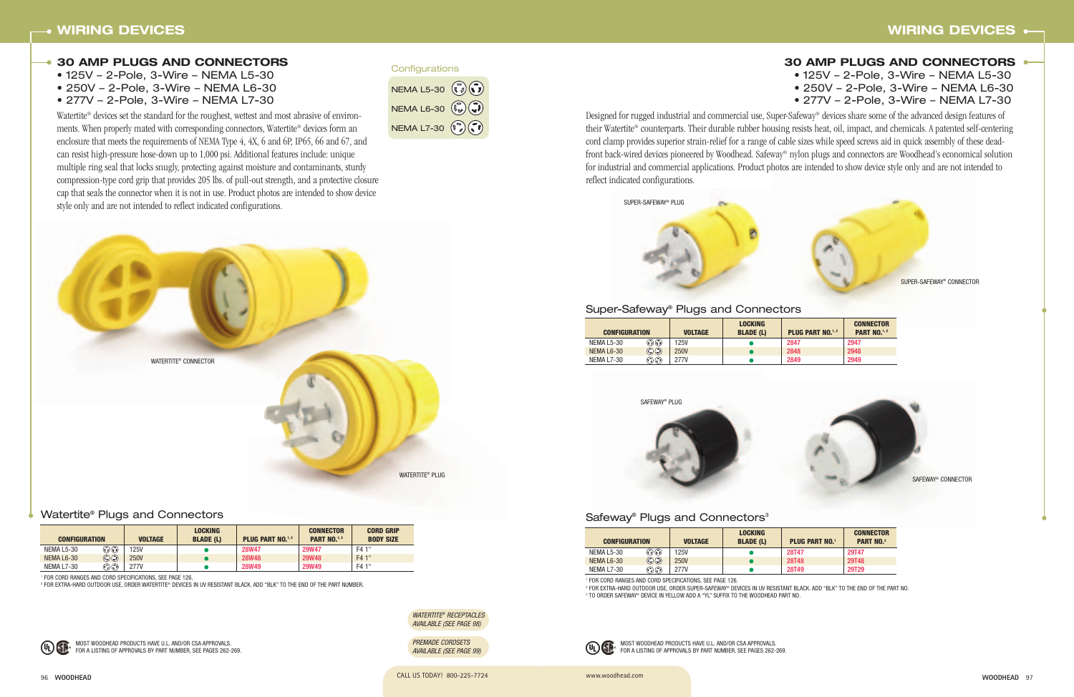

#### Safeway<sup>®</sup> Plugs and Connectors<sup>3</sup>

# **WIRING DEVICES**

# **30 AMP PLUGS AND CONNECTORS** • 125V – 2-Pole, 3-Wire – NEMA L5-30 • 250V – 2-Pole, 3-Wire – NEMA L6-30 • 277V – 2-Pole, 3-Wire – NEMA L7-30



www.woodhead.com



CALL US TODAY! 800-225-7724 96 **WOODHEAD**

| <b>CONFIGURATION</b> |                                                  | <b>VOLTAGE</b> | <b>LOCKING</b><br><b>BLADE (L)</b> | <b>PLUG PART NO.</b> <sup>1,2</sup> | CO.<br>P. |
|----------------------|--------------------------------------------------|----------------|------------------------------------|-------------------------------------|-----------|
| NEMA L5-30           | $\widehat{(\mathcal{C})}(\widehat{\mathcal{C}})$ | 125V           |                                    | 2847                                | 2947      |
| NEMA L6-30           | $\mathbb{C}(\mathbb{C})$                         | <b>250V</b>    |                                    | 2848                                | 2948      |
| <b>NEMA L7-30</b>    | $\widehat{(\cdot)}$                              | 277V           |                                    | 2849                                | 2949      |

## Super-Safeway® Plugs and Connectors

| <b>CONFIGURATION</b> |                           | <b>VOLTAGE</b> | <b>LOCKING</b><br><b>BLADE (L)</b> | <b>PLUG PART NO.</b> | <b>CONNECTOR</b><br><b>PART NO.</b> 2 |
|----------------------|---------------------------|----------------|------------------------------------|----------------------|---------------------------------------|
| NEMA L5-30           | $\odot$ O                 | 125V           |                                    | <b>28T47</b>         | 29T47                                 |
| NEMA L6-30           | $\mathbb{C}$ $\mathbb{O}$ | <b>250V</b>    |                                    | <b>28T48</b>         | 29T48                                 |
| NEMA L7-30           | $\odot$ $\odot$           | 277V           |                                    | <b>28T49</b>         | 29T29                                 |

<sup>1</sup> FOR CORD RANGES AND CORD SPECIFICATIONS, SEE PAGE 126.

<sup>2</sup> FOR EXTRA-HARD OUTDOOR USE, ORDER SUPER-SAFEWAY® DEVICES IN UV RESISTANT BLACK. ADD "BLK" TO THE END OF THE PART NO. <sup>3</sup> TO ORDER SAFEWAY® DEVICE IN YELLOW ADD A "YL" SUFFIX TO THE WOODHEAD PART NO.

WATERTITE® RECEPTACLES AVAILABLE (SEE PAGE 98)

PREMADE CORDSETS AVAILABLE (SEE PAGE 99)

Watertite<sup>®</sup> devices set the standard for the roughest, wettest and most abrasive of environments. When properly mated with corresponding connectors, Watertite® devices form an enclosure that meets the requirements of NEMA Type 4, 4X, 6 and 6P, IP65, 66 and 67, and can resist high-pressure hose-down up to 1,000 psi. Additional features include: unique multiple ring seal that locks snugly, protecting against moisture and contaminants, sturdy compression-type cord grip that provides 205 lbs. of pull-out strength, and a protective closure cap that seals the connector when it is not in use. Product photos are intended to show device style only and are not intended to reflect indicated configurations.

Designed for rugged industrial and commercial use, Super-Safeway® devices share some of the advanced design features of their Watertite® counterparts. Their durable rubber housing resists heat, oil, impact, and chemicals. A patented self-centering cord clamp provides superior strain-relief for a range of cable sizes while speed screws aid in quick assembly of these deadfront back-wired devices pioneered by Woodhead. Safeway® nylon plugs and connectors are Woodhead's economical solution for industrial and commercial applications. Product photos are intended to show device style only and are not intended to

reflect indicated configurations.

## **30 AMP PLUGS AND CONNECTORS**

• 125V – 2-Pole, 3-Wire – NEMA L5-30

- 250V 2-Pole, 3-Wire NEMA L6-30
- 277V 2-Pole, 3-Wire NEMA L7-30



#### Watertite® Plugs and Connectors

| <b>CONFIGURATION</b> |                | <b>VOLTAGE</b> | <b>LOCKING</b><br><b>BLADE (L)</b> | <b>PLUG PART NO.</b> <sup>1,2</sup> | <b>CONNECTOR</b><br><b>PART NO.</b> <sup>1, 2</sup> | <b>CORD GRIP</b><br><b>BODY SIZE</b> |
|----------------------|----------------|----------------|------------------------------------|-------------------------------------|-----------------------------------------------------|--------------------------------------|
| <b>NEMA L5-30</b>    | ಾ⊙             | <b>25V</b>     |                                    | <b>28W47</b>                        | <b>29W47</b>                                        | F4 1"                                |
| NEMA L6-30           | $\mathbb{C}$ g | <b>250V</b>    |                                    | <b>28W48</b>                        | <b>29W48</b>                                        | F4 1"                                |
| <b>NEMA L7-30</b>    | $\odot$ G      | <b>277V</b>    |                                    | <b>28W49</b>                        | <b>29W49</b>                                        | F4 1"                                |

<sup>1</sup> FOR CORD RANGES AND CORD SPECIFICATIONS, SEE PAGE 126.

<sup>2</sup> FOR EXTRA-HARD OUTDOOR USE, ORDER WATERTITE® DEVICES IN UV RESISTANT BLACK. ADD "BLK" TO THE END OF THE PART NUMBER.



| NEMA L5-30 $(\vec{r}) (\vec{r})$           |  |
|--------------------------------------------|--|
| NEMA L6-30 $(\mathbb{Q})$ $(\mathbb{Q})$   |  |
| NEMA L7-30 $(\mathbb{F}_{q}) (\mathbb{F})$ |  |

MOST WOODHEAD PRODUCTS HAVE U.L. AND/OR CSA APPROVALS. FOR A LISTING OF APPROVALS BY PART NUMBER, SEE PAGES 262-269.

#### **Configurations**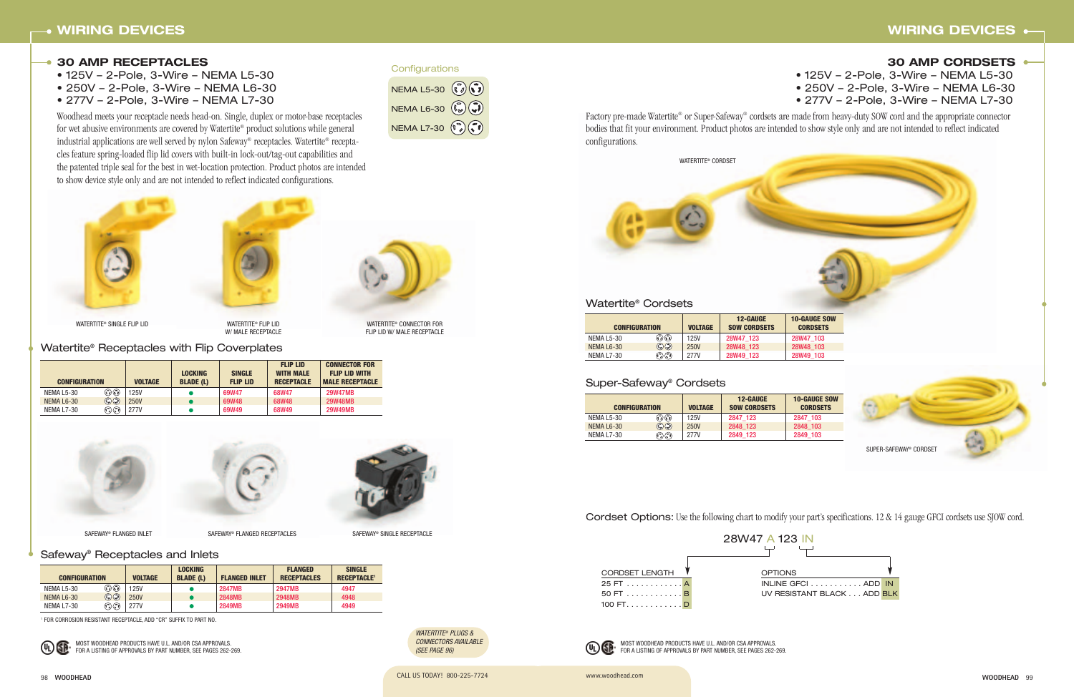#### **30 AMP RECEPTACLES**

- 125V 2-Pole, 3-Wire NEMA L5-30
- 250V 2-Pole, 3-Wire NEMA L6-30
- 277V 2-Pole, 3-Wire NEMA L7-30

Woodhead meets your receptacle needs head-on. Single, duplex or motor-base receptacles for wet abusive environments are covered by Watertite® product solutions while general industrial applications are well served by nylon Safeway® receptacles. Watertite® receptacles feature spring-loaded flip lid covers with built-in lock-out/tag-out capabilities and the patented triple seal for the best in wet-location protection. Product photos are intended to show device style only and are not intended to reflect indicated configurations.

SAFEWAY® FLANGED RECEPTACLES

#### Watertite® Cordsets

#### Watertite® Receptacles with Flip Coverplates

# **WIRING DEVICES**

#### **30 AMP CORDSETS**

• 125V – 2-Pole, 3-Wire – NEMA L5-30 • 250V – 2-Pole, 3-Wire – NEMA L6-30 • 277V – 2-Pole, 3-Wire – NEMA L7-30 Factory pre-made Watertite® or Super-Safeway® cordsets are made from heavy-duty SOW cord and the appropriate connector bodies that fit your environment. Product photos are intended to show style only and are not intended to reflect indicated

WATERTITE® PLUGS & CONNECTORS AVAILABLE (SEE PAGE 96)

configurations.

|                      |                          |                | <b>12-GAUGE</b>     | $10-$      |
|----------------------|--------------------------|----------------|---------------------|------------|
| <b>CONFIGURATION</b> |                          | <b>VOLTAGE</b> | <b>SOW CORDSETS</b> | C          |
| <b>NEMA L5-30</b>    | ೧೧೧                      | 125V           | 28W47 123           | <b>28V</b> |
| NEMA L6-30           | $\mathbb{C}(\mathbb{C})$ | 250V           | 28W48 123           | <b>28V</b> |
| NEMA L7-30           | $\odot$ $\odot$          | 277V           | 28W49 123           | <b>28V</b> |
|                      |                          |                |                     |            |

98 **WOODHEAD** CALL US TODAY! 800-225-7724 www.woodhead.com

| <b>CONFIGURATION</b> |                                       | <b>VOLTAGE</b> | <b>LOCKING</b><br><b>BLADE (L)</b> | <b>SINGLE</b><br><b>FLIP LID</b> | <b>FLIP LID</b><br><b>WITH MALE</b><br><b>RECEPTACLE</b> | <b>CONNECTOR FOR</b><br><b>FLIP LID WITH</b><br><b>MALE RECEPTACLE</b> |
|----------------------|---------------------------------------|----------------|------------------------------------|----------------------------------|----------------------------------------------------------|------------------------------------------------------------------------|
| NEMA L5-30           | ٥                                     | <b>125V</b>    |                                    | 69W47                            | 68W47                                                    | <b>29W47MB</b>                                                         |
| NEMA L6-30           | $\mathbb{O}$ g                        | <b>250V</b>    |                                    | 69W48                            | 68W48                                                    | <b>29W48MB</b>                                                         |
| NEMA L7-30           | $(\widehat{\cdot}) (\widehat{\cdot})$ | <b>277V</b>    |                                    | 69W49                            | 68W49                                                    | <b>29W49MB</b>                                                         |

| <b>CONFIGURATION</b> |                                                        | <b>VOLTAGE</b> | <b>LOCKING</b><br><b>BLADE (L)</b> | <b>FLANGED INLET</b> | <b>FLANGED</b><br><b>RECEPTACLES</b> | <b>SINGLE</b><br><b>RECEPTACLE<sup>1</sup></b> |
|----------------------|--------------------------------------------------------|----------------|------------------------------------|----------------------|--------------------------------------|------------------------------------------------|
| NEMA L5-30           | ಾಧ                                                     | <b>125V</b>    |                                    | <b>2847MB</b>        | <b>2947MB</b>                        | 4947                                           |
| NEMA L6-30           | $\mathbb{C}(\mathbb{C})$                               | <b>250V</b>    |                                    | 2848MB               | <b>2948MB</b>                        | 4948                                           |
| NEMA L7-30           | $(\widehat{\mathbb{F}_{q}})(\widehat{\mathbb{F}_{q}})$ | <b>277V</b>    |                                    | <b>2849MB</b>        | <b>2949MB</b>                        | 4949                                           |

#### Super-Safeway® Cordsets

| <b>CONFIGURATION</b> |                                                  | <b>VOLTAGE</b> | <b>12-GAUGE</b><br><b>SOW CORDSETS</b> | $10-$ |
|----------------------|--------------------------------------------------|----------------|----------------------------------------|-------|
| <b>NEMA L5-30</b>    | $\widehat{(\mathcal{O})}(\widehat{\mathcal{O}})$ | 125V           | 2847 123                               | 284   |
| NEMA L6-30           | $\mathbb{C}(\mathbb{C})$                         | 250V           | 2848 123                               | 284   |
| <b>NEMA L7-30</b>    | $(\widehat{\mathfrak{r}_{\ell}})$                | 277V           | 2849 123                               | 284   |



W/ MALE RECEPTACLE



SAFEWAY® FLANGED INLET

WATERTITE® CONNECTOR FOR FLIP LID W/ MALE RECEPTACLE



Cordset Options: Use the following chart to modify your part's specifications. 12 & 14 gauge GFCI cordsets use SJOW cord.

Safeway® Receptacles and Inlets

| NEMA L5-30 $(\vec{v})(\vec{v})$                               |  |
|---------------------------------------------------------------|--|
| NEMA L6-30 $(\mathbb{Q})$ $(\mathbb{Q})$                      |  |
| NEMA L7-30 $(\widehat{\mathfrak{l}})(\widehat{\mathfrak{l}})$ |  |

**Configurations** 

<sup>1</sup> FOR CORROSION RESISTANT RECEPTACLE, ADD "CR" SUFFIX TO PART NO.



MOST WOODHEAD PRODUCTS HAVE U.L. AND/OR CSA APPROVALS. FOR A LISTING OF APPROVALS BY PART NUMBER, SEE PAGES 262-269. MOST WOODHEAD PRODUCTS HAVE U.L. AND/OR CSA APPROVALS. FOR A LISTING OF APPROVALS BY PART NUMBER, SEE PAGES 262-269.





WATERTITE® SINGLE FLIP LID WATERTITE® FLIP LID



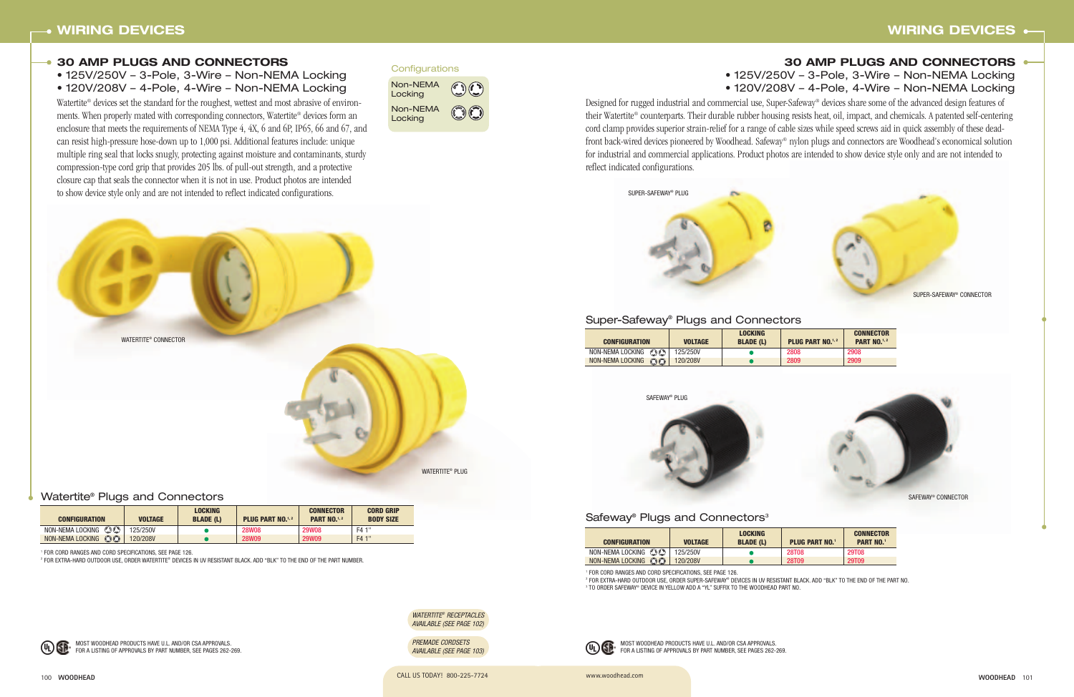#### Watertite® Plugs and Connectors

| <b>CONFIGURATION</b>                    | <b>VOLTAGE</b> | <b>LOCKING</b><br><b>BLADE (L)</b> | <b>PLUG PART NO.</b> <sup>1,2</sup> | <b>CONNECTOR</b><br><b>PART NO.</b> <sup>1,2</sup> | <b>CORD GRIP</b><br><b>BODY SIZE</b> |
|-----------------------------------------|----------------|------------------------------------|-------------------------------------|----------------------------------------------------|--------------------------------------|
| NON-NEMALOCKING $\mathbb{O} \mathbb{O}$ | 125/250V       |                                    | <b>28W08</b>                        | <b>29W08</b>                                       | F4 1"                                |
| NON-NEMA LOCKING CO                     | 120/208V       |                                    | <b>28W09</b>                        | <b>29W09</b>                                       | F4 1"                                |





#### Safeway<sup>®</sup> Plugs and Connectors<sup>3</sup>





Designed for rugged industrial and commercial use, Super-Safeway® devices share some of the advanced design features of their Watertite® counterparts. Their durable rubber housing resists heat, oil, impact, and chemicals. A patented self-centering cord clamp provides superior strain-relief for a range of cable sizes while speed screws aid in quick assembly of these deadfront back-wired devices pioneered by Woodhead. Safeway® nylon plugs and connectors are Woodhead's economical solution for industrial and commercial applications. Product photos are intended to show device style only and are not intended to reflect indicated configurations.

Watertite® devices set the standard for the roughest, wettest and most abrasive of environments. When properly mated with corresponding connectors, Watertite® devices form an enclosure that meets the requirements of NEMA Type 4, 4X, 6 and 6P, IP65, 66 and 67, and can resist high-pressure hose-down up to 1,000 psi. Additional features include: unique multiple ring seal that locks snugly, protecting against moisture and contaminants, sturdy compression-type cord grip that provides 205 lbs. of pull-out strength, and a protective closure cap that seals the connector when it is not in use. Product photos are intended to show device style only and are not intended to reflect indicated configurations.



100 **WOODHEAD** CALL US TODAY! 800-225-7724 **WOODHEAD** 101

# **30 AMP PLUGS AND CONNECTORS** • 125V/250V – 3-Pole, 3-Wire – Non-NEMA Locking • 120V/208V – 4-Pole, 4-Wire – Non-NEMA Locking



#### **30 AMP PLUGS AND CONNECTORS**

- 125V/250V 3-Pole, 3-Wire Non-NEMA Locking
- 120V/208V 4-Pole, 4-Wire Non-NEMA Locking

| <b>CONFIGURATION</b>        | <b>VOLTAGE</b> | <b>LOCKING</b><br><b>BLADE (L)</b> | <b>PLUG PART NO.</b> <sup>1,2</sup> | <b>CONNECTOR</b><br><b>PART NO.</b> <sup>1, 2</sup> |
|-----------------------------|----------------|------------------------------------|-------------------------------------|-----------------------------------------------------|
| $\odot$<br>NON-NEMA LOCKING | 125/250V       |                                    | 2808                                | 2908                                                |
| NON-NEMA LOCKING<br>$\odot$ | 120/208V       |                                    | 2809                                | 2909                                                |

#### Super-Safeway® Plugs and Connectors

| <b>CONFIGURATION</b>          | <b>VOLTAGE</b> | <b>LOCKING</b><br><b>BLADE (L)</b> | <b>PLUG PART NO.1</b> | <b>CONNECTOR</b><br><b>PART NO.1</b> |
|-------------------------------|----------------|------------------------------------|-----------------------|--------------------------------------|
| NON-NEMALOCKING $Q$           | 125/250V       |                                    | <b>28T08</b>          | <b>29T08</b>                         |
| $\odot$ O<br>NON-NEMA LOCKING | 120/208V       |                                    | 28T09                 | 29T09                                |

<sup>1</sup> FOR CORD RANGES AND CORD SPECIFICATIONS, SEE PAGE 126.

<sup>2</sup> FOR EXTRA-HARD OUTDOOR USE, ORDER SUPER-SAFEWAY® DEVICES IN UV RESISTANT BLACK. ADD "BLK" TO THE END OF THE PART NO. <sup>3</sup> TO ORDER SAFEWAY® DEVICE IN YELLOW ADD A "YL" SUFFIX TO THE WOODHEAD PART NO.

WATERTITE® RECEPTACLES AVAILABLE (SEE PAGE 102)

PREMADE CORDSETS AVAILABLE (SEE PAGE 103)

<sup>1</sup> FOR CORD RANGES AND CORD SPECIFICATIONS, SEE PAGE 126.

<sup>2</sup> FOR EXTRA-HARD OUTDOOR USE, ORDER WATERTITE® DEVICES IN UV RESISTANT BLACK. ADD "BLK" TO THE END OF THE PART NUMBER.



Non-NEMA Locking Non-NEMA Locking

MOST WOODHEAD PRODUCTS HAVE U.L. AND/OR CSA APPROVALS. FOR A LISTING OF APPROVALS BY PART NUMBER, SEE PAGES 262-269.

#### **Configurations**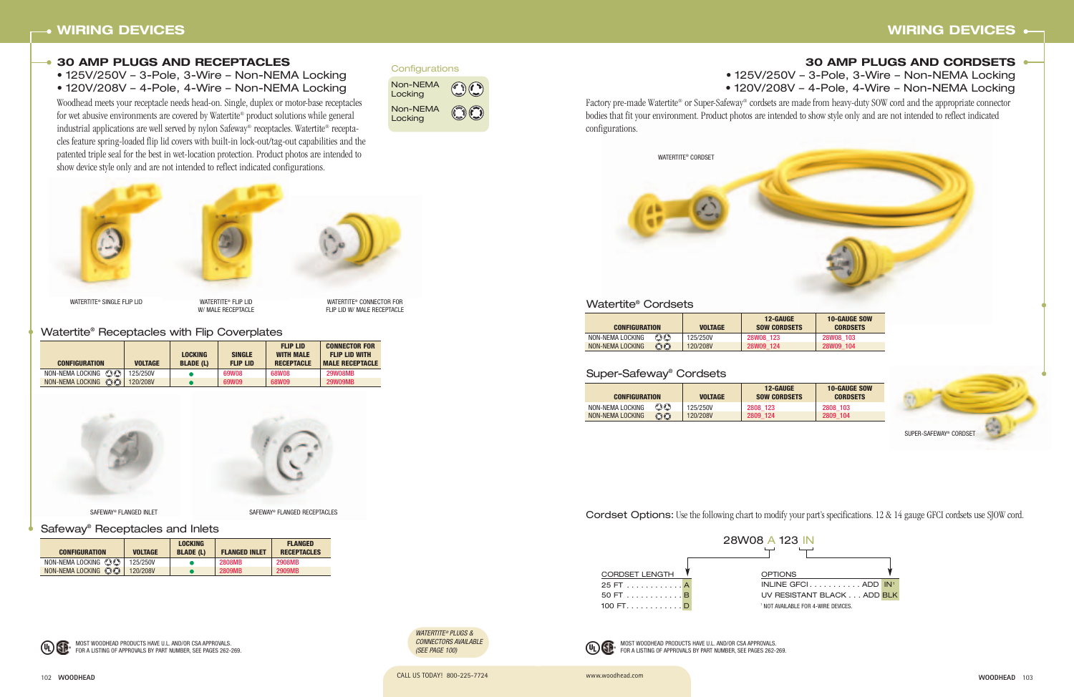www.woodhead.com

406

Cordset Options: Use the following chart to modify your part's specifications. 12 & 14 gauge GFCI cordsets use SJOW cord.

# **30 AMP PLUGS AND CORDSETS** • 125V/250V – 3-Pole, 3-Wire – Non-NEMA Locking • 120V/208V – 4-Pole, 4-Wire – Non-NEMA Locking

#### Super-Safeway® Cordsets

| <b>CONFIGURATION</b> |                         | <b>VOLTAGE</b> | <b>12-GAUGE</b><br><b>SOW CORDSETS</b> |
|----------------------|-------------------------|----------------|----------------------------------------|
| NON-NEMA LOCKING     | $\mathbb{O} \mathbb{O}$ | 125/250V       | 2808 123                               |
| NON-NEMA LOCKING     | $\odot$                 | 120/208V       | 2809 124                               |

#### Watertite® Cordsets

| <b>CONFIGURATION</b> |                         | <b>VOLTAGE</b> | <b>12-GAUGE</b><br><b>SOW CORDSETS</b> |
|----------------------|-------------------------|----------------|----------------------------------------|
| NON-NEMA LOCKING     | $\mathbb{O} \mathbb{O}$ | 125/250V       | <b>28W08 123</b>                       |
| NON-NEMA LOCKING     | $\odot$                 | 120/208V       | 28W09 124                              |

#### **30 AMP PLUGS AND RECEPTACLES**

- 125V/250V 3-Pole, 3-Wire Non-NEMA Locking
- 120V/208V 4-Pole, 4-Wire Non-NEMA Locking

Safeway® Receptacles and Inlets

#### Watertite® Receptacles with Flip Coverplates

| <b>CONFIGURATION</b>                  | <b>VOLTAGE</b> | <b>LOCKING</b><br><b>BLADE (L)</b> | <b>SINGLE</b><br><b>FLIP LID</b> | <b>FLIP LID</b><br><b>WITH MALE</b><br><b>RECEPTACLE</b> | <b>CONNECTOR FOR</b><br><b>FLIP LID WITH</b><br><b>MALE RECEPTACLE</b> |
|---------------------------------------|----------------|------------------------------------|----------------------------------|----------------------------------------------------------|------------------------------------------------------------------------|
| $\bigcirc$<br>NON-NEMA LOCKING        | 125/250V       |                                    | 69W08                            | 68W08                                                    | <b>29W08MB</b>                                                         |
| $\bigcap_{i=1}^n$<br>NON-NEMA LOCKING | 120/208V       |                                    | 69W09                            | 68W09                                                    | <b>29W09MB</b>                                                         |





SAFEWAY® FLANGED INLET SAFEWAY® FLANGED RECEPTACLES

Factory pre-made Watertite® or Super-Safeway® cordsets are made from heavy-duty SOW cord and the appropriate connector bodies that fit your environment. Product photos are intended to show style only and are not intended to reflect indicated configurations.

| <b>CONFIGURATION</b>                    | <b>VOLTAGE</b> | <b>LOCKING</b><br><b>BLADE (L)</b> | <b>FLANGED INLET</b> | <b>FLANGED</b><br><b>RECEPTACLES</b> |
|-----------------------------------------|----------------|------------------------------------|----------------------|--------------------------------------|
| NON-NEMALOCKING $\mathbb{O} \mathbb{C}$ | 125/250V       |                                    | <b>2808MB</b>        | <b>2908MB</b>                        |
| NON-NEMA LOCKING CO                     | 120/208V       |                                    | <b>2809MB</b>        | <b>2909MB</b>                        |







W/ MALE RECEPTACLE

WATERTITE® CONNECTOR FOR FLIP LID W/ MALE RECEPTACLE

Woodhead meets your receptacle needs head-on. Single, duplex or motor-base receptacles for wet abusive environments are covered by Watertite® product solutions while general industrial applications are well served by nylon Safeway® receptacles. Watertite® receptacles feature spring-loaded flip lid covers with built-in lock-out/tag-out capabilities and the patented triple seal for the best in wet-location protection. Product photos are intended to show device style only and are not intended to reflect indicated configurations.







WATERTITE® SINGLE FLIP LID WATERTITE® FLIP LID

Non-NEMA Locking Non-NEMA Locking



MOST WOODHEAD PRODUCTS HAVE U.L. AND/OR CSA APPROVALS. FOR A LISTING OF APPROVALS BY PART NUMBER, SEE PAGES 262-269.

#### **Configurations**

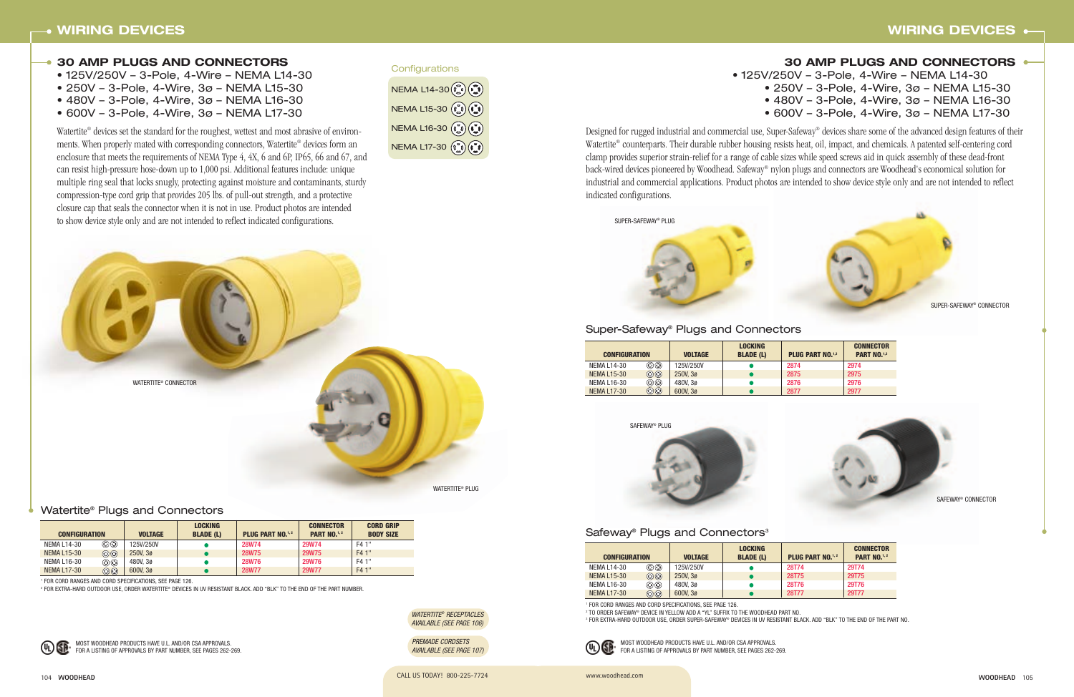104 **WOODHEAD** CALL US TODAY! 800-225-7724 www.woodhead.com

## **30 AMP PLUGS AND CONNECTORS**

- 125V/250V 3-Pole, 4-Wire NEMA L14-30
- 250V 3-Pole, 4-Wire, 3ø NEMA L15-30
- 480V 3-Pole, 4-Wire, 3ø NEMA L16-30
- 600V 3-Pole, 4-Wire, 3ø NEMA L17-30

Watertite® devices set the standard for the roughest, wettest and most abrasive of environments. When properly mated with corresponding connectors, Watertite® devices form an enclosure that meets the requirements of NEMA Type 4, 4X, 6 and 6P, IP65, 66 and 67, and can resist high-pressure hose-down up to 1,000 psi. Additional features include: unique multiple ring seal that locks snugly, protecting against moisture and contaminants, sturdy compression-type cord grip that provides 205 lbs. of pull-out strength, and a protective closure cap that seals the connector when it is not in use. Product photos are intended to show device style only and are not intended to reflect indicated configurations.



| <b>30 AMP PLUGS AND CONNECTORS</b>     |
|----------------------------------------|
| 50V - 3-Pole, 4-Wire - NEMA L14-30     |
| 50V - 3-Pole, 4-Wire, 3ø - NEMA L15-30 |
| 30V - 3-Pole, 4-Wire, 3ø - NEMA L16-30 |
| 00V - 3-Pole, 4-Wire, 3ø - NEMA L17-30 |

#### Watertite® Plugs and Connectors

| <b>CONFIGURATION</b> |         | <b>VOLTAGE</b> | <b>LOCKING</b><br><b>BLADE (L)</b> | <b>PLUG PART NO.</b> <sup>1,2</sup> | <b>CONNECTOR</b><br><b>PART NO.</b> <sup>1,2</sup> | <b>CORD GRIP</b><br><b>BODY SIZE</b> |
|----------------------|---------|----------------|------------------------------------|-------------------------------------|----------------------------------------------------|--------------------------------------|
| NEMA L14-30          | ٥       | 125V/250V      |                                    | <b>28W74</b>                        | <b>29W74</b>                                       | F4 1"                                |
| <b>NEMA L15-30</b>   | $\odot$ | 250V.30        |                                    | <b>28W75</b>                        | <b>29W75</b>                                       | F4 1"                                |
| NEMA L16-30          | $\odot$ | 480V.30        |                                    | <b>28W76</b>                        | <b>29W76</b>                                       | F4 1"                                |
| <b>NEMA L17-30</b>   | $\odot$ | 600V.30        |                                    | <b>28W77</b>                        | <b>29W77</b>                                       | F4 1"                                |

<sup>1</sup> FOR CORD RANGES AND CORD SPECIFICATIONS, SEE PAGE 126.





# Safeway<sup>®</sup> Plugs and Connectors<sup>3</sup>



| <b>CONFIGURATION</b> |                 | <b>VOLTAGE</b> | <b>LOCKING</b><br><b>BLADE (L)</b> | <b>PLUG PART NO.</b> <sup>1,2</sup> | <b>CONNECTOR</b><br><b>PART NO.</b> <sup>1, 2</sup> |
|----------------------|-----------------|----------------|------------------------------------|-------------------------------------|-----------------------------------------------------|
| NEMA L14-30          | $\odot$         | 125V/250V      |                                    | <b>28T74</b>                        | 29T74                                               |
| NEMA L15-30          | $\odot$         | 250V.30        |                                    | <b>28T75</b>                        | <b>29T75</b>                                        |
| NEMA L16-30          | $\odot$ $\odot$ | 480V.30        |                                    | 28T76                               | 29T76                                               |
| <b>NEMA L17-30</b>   | $\odot$ $\odot$ | 600V, 3ø       |                                    | <b>28T77</b>                        | 29T77                                               |

<sup>1</sup> FOR CORD RANGES AND CORD SPECIFICATIONS, SEE PAGE 126.

<sup>2</sup> TO ORDER SAFEWAY® DEVICE IN YELLOW ADD A "YL" SUFFIX TO THE WOODHEAD PART NO. <sup>3</sup> FOR EXTRA-HARD OUTDOOR USE, ORDER SUPER-SAFEWAY® DEVICES IN UV RESISTANT BLACK. ADD "BLK" TO THE END OF THE PART NO.



<sup>2</sup> FOR EXTRA-HARD OUTDOOR USE, ORDER WATERTITE® DEVICES IN UV RESISTANT BLACK. ADD "BLK" TO THE END OF THE PART NUMBER.



| <b>CONFIGURATION</b> |                 | <b>VOLTAGE</b> | <b>LOCKING</b><br><b>BLADE (L)</b> | <b>PLUG PART NO.1,3</b> | <b>CONNECTOR</b><br><b>PART NO.</b> <sup>1,3</sup> |
|----------------------|-----------------|----------------|------------------------------------|-------------------------|----------------------------------------------------|
| NEMA L14-30          | $\odot$ $\odot$ | 125V/250V      |                                    | 2874                    | 2974                                               |
| <b>NEMA L15-30</b>   | $\odot$         | 250V.30        |                                    | 2875                    | 2975                                               |
| NEMA L16-30          | $\odot$ $\odot$ | 480V.30        |                                    | 2876                    | 2976                                               |
| <b>NEMA L17-30</b>   | $\odot$         | 600V, 3ø       |                                    | 2877                    | 2977                                               |

# Super-Safeway® Plugs and Connectors

| Configurations                                                                         |
|----------------------------------------------------------------------------------------|
| NEMA $L14 - 30$ $(\mathcal{C}_s)$ $(\mathcal{C}_s)$                                    |
| NEMA L15-30 $(\begin{matrix} 0 \\ 0 \end{matrix})(\begin{matrix} 1 \\ 0 \end{matrix})$ |
| NEMA L16-30 (20)                                                                       |
| NEMA L17-30 ( 0 ( 1)                                                                   |

MOST WOODHEAD PRODUCTS HAVE U.L. AND/OR CSA APPROVALS. FOR A LISTING OF APPROVALS BY PART NUMBER, SEE PAGES 262-269.

## $• 125V/250V$  $• 250V$

- $480V$ 
	- $600V$

MOST WOODHEAD PRODUCTS HAVE U.L. AND/OR CSA APPROVALS. FOR A LISTING OF APPROVALS BY PART NUMBER, SEE PAGES 262-269.

Designed for rugged industrial and commercial use, Super-Safeway® devices share some of the advanced design features of their Watertite® counterparts. Their durable rubber housing resists heat, oil, impact, and chemicals. A patented self-centering cord clamp provides superior strain-relief for a range of cable sizes while speed screws aid in quick assembly of these dead-front back-wired devices pioneered by Woodhead. Safeway® nylon plugs and connectors are Woodhead's economical solution for industrial and commercial applications. Product photos are intended to show device style only and are not intended to reflect indicated configurations.



WATERTITE® RECEPTACLES AVAILABLE (SEE PAGE 106)

PREMADE CORDSETS AVAILABLE (SEE PAGE 107)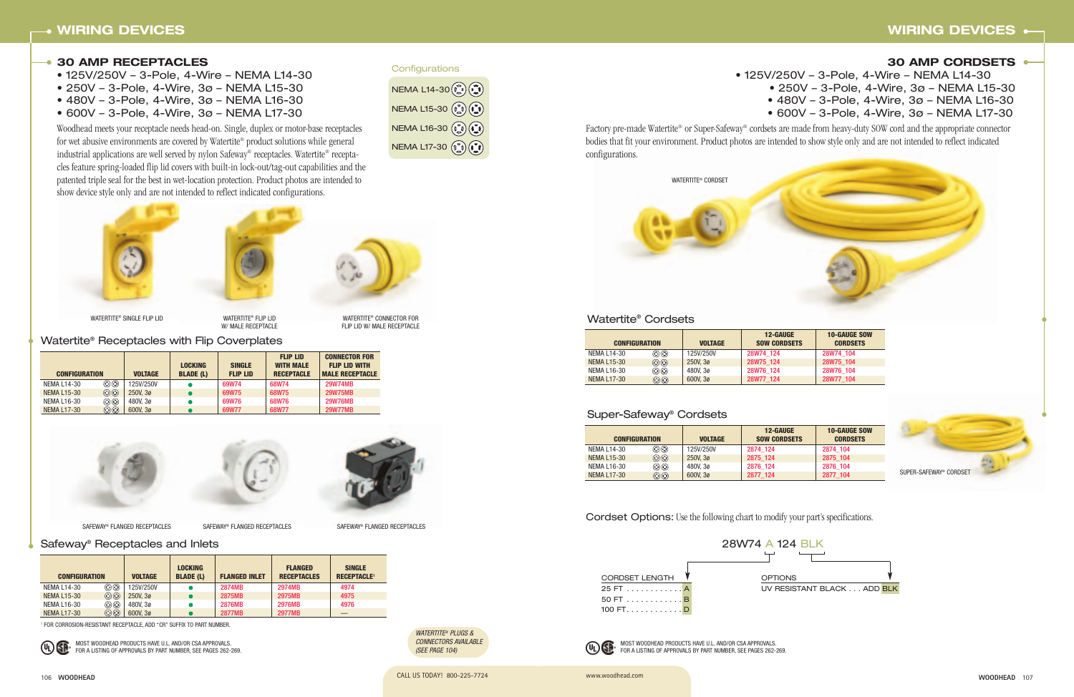

106 **WOODHEAD** CALL US TODAY! 800-225-7724 www.woodhead.com

#### **30 AMP CORDSETS**

• 125V/250V – 3-Pole, 4-Wire – NEMA L14-30 • 250V – 3-Pole, 4-Wire, 3ø – NEMA L15-30 • 480V – 3-Pole, 4-Wire, 3ø – NEMA L16-30 • 600V – 3-Pole, 4-Wire, 3ø – NEMA L17-30



Factory pre-made Watertite® or Super-Safeway® cordsets are made from heavy-duty SOW cord and the appropriate connector bodies that fit your environment. Product photos are intended to show style only and are not intended to reflect indicated configurations.

Cordset Options: Use the following chart to modify your part's specifications.

# Super-Safeway® Cordsets

| <b>CONFIGURATION</b> |                 | <b>VOLTAGE</b> | <b>12-GAUGE</b><br><b>SOW CORDSETS</b> | <b>10-GAUGE SOW</b><br><b>CORDSETS</b> |
|----------------------|-----------------|----------------|----------------------------------------|----------------------------------------|
| <b>NEMA L14-30</b>   | $\odot$ $\odot$ | 125V/250V      | 2874 124                               | 2874 104                               |
| <b>NEMA L15-30</b>   | $\odot$         | 250V.30        | 2875 124                               | 2875 104                               |
| NEMA L16-30          | $\odot$ $\odot$ | 480V.30        | 2876 124                               | 2876 104                               |
| <b>NEMA L17-30</b>   | $\odot \odot$   | 600V.30        | 2877 124                               | 2877 104                               |

# Watertite® Cordsets

| <b>CONFIGURATION</b> |                 | <b>VOLTAGE</b> | <b>12-GAUGE</b><br><b>SOW CORDSETS</b> | <b>10-GAUGE SOW</b><br><b>CORDSETS</b> |
|----------------------|-----------------|----------------|----------------------------------------|----------------------------------------|
| <b>NEMA L14-30</b>   | $\odot$ $\odot$ | 125V/250V      | 28W74 124                              | 28W74 104                              |
| <b>NEMA L15-30</b>   | $\odot$         | 250V.30        | 28W75 124                              | 28W75 104                              |
| <b>NEMA L16-30</b>   | $\circledcirc$  | 480V.30        | 28W76 124                              | 28W76 104                              |
| <b>NEMA L17-30</b>   | $\odot$ $\odot$ | 600V, 3ø       | 28W77 124                              | 28W77 104                              |



W/ MALE RECEPTACLE

WATERTITE® CONNECTOR FOR FLIP LID W/ MALE RECEPTACLE

#### **30 AMP RECEPTACLES**

- 125V/250V 3-Pole, 4-Wire NEMA L14-30
- 250V 3-Pole, 4-Wire, 3ø NEMA L15-30
- 480V 3-Pole, 4-Wire, 3ø NEMA L16-30
- 600V 3-Pole, 4-Wire, 3ø NEMA L17-30

WATERTITE® PLUGS & CONNECTORS AVAILABLE (SEE PAGE 104)

Woodhead meets your receptacle needs head-on. Single, duplex or motor-base receptacles for wet abusive environments are covered by Watertite® product solutions while general industrial applications are well served by nylon Safeway® receptacles. Watertite® receptacles feature spring-loaded flip lid covers with built-in lock-out/tag-out capabilities and the patented triple seal for the best in wet-location protection. Product photos are intended to show device style only and are not intended to reflect indicated configurations.

Watertite® Receptacles with Flip Coverplates

<sup>1</sup> FOR CORROSION-RESISTANT RECEPTACLE, ADD "CR" SUFFIX TO PART NUMBER.



| <b>CONFIGURATION</b> |                 | <b>VOLTAGE</b> | <b>LOCKING</b><br><b>BLADE (L)</b> | <b>SINGLE</b><br><b>FLIP LID</b> | <b>FLIP LID</b><br><b>WITH MALE</b><br><b>RECEPTACLE</b> | <b>CONNECTOR FOR</b><br><b>FLIP LID WITH</b><br><b>MALE RECEPTACLE</b> |
|----------------------|-----------------|----------------|------------------------------------|----------------------------------|----------------------------------------------------------|------------------------------------------------------------------------|
| <b>NEMA L14-30</b>   | ٥Θ              | 125V/250V      |                                    | 69W74                            | 68W74                                                    | <b>29W74MB</b>                                                         |
| <b>NEMA L15-30</b>   | $\odot$ $\odot$ | 250V.30        |                                    | 69W75                            | 68W75                                                    | <b>29W75MB</b>                                                         |
| <b>NEMA L16-30</b>   | $\odot$ O       | 480V.30        |                                    | 69W76                            | 68W76                                                    | <b>29W76MB</b>                                                         |
| <b>NEMA L17-30</b>   | $\odot$         | 600V.30        |                                    | 69W77                            | 68W77                                                    | <b>29W77MB</b>                                                         |



SAFEWAY® FLANGED RECEPTACLES SAFEWAY® FLANGED RECEPTACLES SAFEWAY® FLANGED RECEPTACLES



| <b>CONFIGURATION</b> |                 | <b>VOLTAGE</b> | <b>LOCKING</b><br><b>BLADE (L)</b> | <b>FLANGED INLET</b> | <b>FLANGED</b><br><b>RECEPTACLES</b> | <b>SINGLE</b><br><b>RECEPTACLE<sup>1</sup></b> |
|----------------------|-----------------|----------------|------------------------------------|----------------------|--------------------------------------|------------------------------------------------|
| <b>NEMA L14-30</b>   | $\odot$ $\odot$ | 125V/250V      |                                    | <b>2874MB</b>        | <b>2974MB</b>                        | 4974                                           |
| <b>NEMA L15-30</b>   | $\odot$ $\odot$ | 250V.30        |                                    | <b>2875MB</b>        | <b>2975MB</b>                        | 4975                                           |
| <b>NEMA L16-30</b>   | $\odot$         | 480V.30        |                                    | <b>2876MB</b>        | <b>2976MB</b>                        | 4976                                           |
| <b>NEMA L17-30</b>   | $\odot$         | 600V.30        |                                    | <b>2877MB</b>        | <b>2977MB</b>                        |                                                |

Safeway® Receptacles and Inlets

MOST WOODHEAD PRODUCTS HAVE U.L. AND/OR CSA APPROVALS. FOR A LISTING OF APPROVALS BY PART NUMBER, SEE PAGES 262-269.



- 
- -









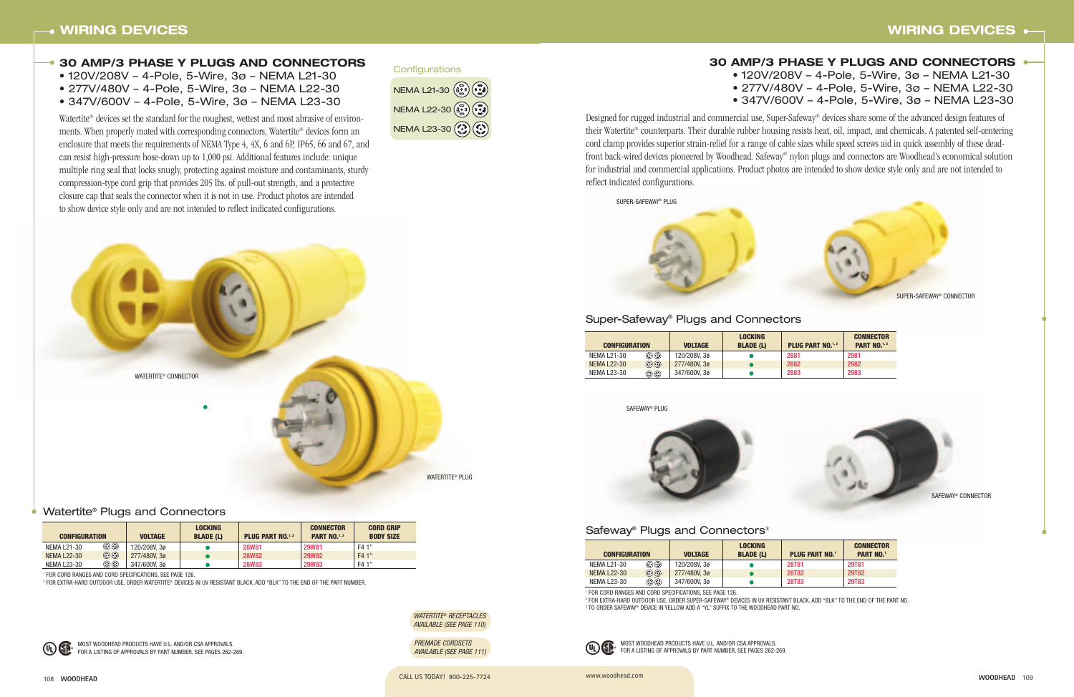WATERTITE® RECEPTACLES







CALL US TODAY! 800-225-7724 CALL US TODAY! 800-225-7724 108 **WOODHEAD**

<sup>1</sup> FOR CORD RANGES AND CORD SPECIFICATIONS, SEE PAGE 126.

<sup>2</sup> FOR EXTRA-HARD OUTDOOR USE, ORDER WATERTITE® DEVICES IN UV RESISTANT BLACK. ADD "BLK" TO THE END OF THE PART NUMBER.



# **30 AMP/3 PHASE Y PLUGS AND CONNECTORS**

- 120V/208V 4-Pole, 5-Wire, 3ø NEMA L21-30
- 277V/480V 4-Pole, 5-Wire, 3ø NEMA L22-30
- 347V/600V 4-Pole, 5-Wire, 3ø NEMA L23-30

Watertite<sup>®</sup> devices set the standard for the roughest, wettest and most abrasive of environments. When properly mated with corresponding connectors, Watertite® devices form an enclosure that meets the requirements of NEMA Type 4, 4X, 6 and 6P, IP65, 66 and 67, and can resist high-pressure hose-down up to 1,000 psi. Additional features include: unique multiple ring seal that locks snugly, protecting against moisture and contaminants, sturdy compression-type cord grip that provides 205 lbs. of pull-out strength, and a protective closure cap that seals the connector when it is not in use. Product photos are intended to show device style only and are not intended to reflect indicated configurations.

#### Watertite® Plugs and Connectors

| NEMA L21-30 (                                                                                                 |
|---------------------------------------------------------------------------------------------------------------|
| NEMA L22-30 ( $\widehat{C_2}$ ) $\widehat{C_3}$ )                                                             |
| NEMA L23-30 $\left(\begin{matrix} 0 \\ 0 \end{matrix}\right) \left(\begin{matrix} 0 \\ 0 \end{matrix}\right)$ |





- 
- -

MOST WOODHEAD PRODUCTS HAVE U.L. AND/OR CSA APPROVALS. FOR A LISTING OF APPROVALS BY PART NUMBER, SEE PAGES 262-269.

#### **Configurations**



SAFEWAY® PLUG



# Safeway<sup>®</sup> Plugs and Connectors<sup>3</sup>



<sup>2</sup> FOR EXTRA-HARD OUTDOOR USE, ORDER SUPER-SAFEWAY® DEVICES IN UV RESISTANT BLACK. ADD "BLK" TO THE END OF THE PART NO. <sup>3</sup> TO ORDER SAFEWAY® DEVICE IN YELLOW ADD A "YL" SUFFIX TO THE WOODHEAD PART NO.

# **WIRING DEVICES**

# **30 AMP/3 PHASE Y PLUGS AND CONNECTORS** • 120V/208V – 4-Pole, 5-Wire, 3ø – NEMA L21-30 • 277V/480V – 4-Pole, 5-Wire, 3ø – NEMA L22-30 • 347V/600V – 4-Pole, 5-Wire, 3ø – NEMA L23-30

Designed for rugged industrial and commercial use, Super-Safeway® devices share some of the advanced design features of their Watertite® counterparts. Their durable rubber housing resists heat, oil, impact, and chemicals. A patented self-centering cord clamp provides superior strain-relief for a range of cable sizes while speed screws aid in quick assembly of these deadfront back-wired devices pioneered by Woodhead. Safeway® nylon plugs and connectors are Woodhead's economical solution for industrial and commercial applications. Product photos are intended to show device style only and are not intended to reflect indicated configurations.

## Super-Safeway® Plugs and Connectors

| <b>CONFIGURATION</b> |                                | <b>VOLTAGE</b> | <b>LOCKING</b><br><b>BLADE (L)</b> | <b>PLUG PART NO.</b> <sup>1,2</sup> | <b>CONNECTOR</b><br><b>PART NO.1,2</b> |
|----------------------|--------------------------------|----------------|------------------------------------|-------------------------------------|----------------------------------------|
| NEMA L21-30          | $\textcircled{\scriptsize{3}}$ | 120/208V, 3ø   |                                    | 2881                                | 2981                                   |
| <b>NEMA L22-30</b>   | $\odot$ $\odot$                | 277/480V.30    |                                    | 2882                                | 2982                                   |
| NEMA L23-30          | $\circledS$                    | 347/600V, 3ø   |                                    | 2883                                | 2983                                   |

| <b>CONFIGURATION</b> |                 | <b>VOLTAGE</b> | <b>LOCKING</b><br><b>BLADE (L)</b> | <b>PLUG PART NO.1</b> | <b>CONNECTOR</b><br><b>PART NO.1</b> |
|----------------------|-----------------|----------------|------------------------------------|-----------------------|--------------------------------------|
| NEMA L21-30          | ۵۰              | 120/208V. 3ø   |                                    | <b>28T81</b>          | 29T81                                |
| <b>NEMA L22-30</b>   | $\odot$ $\odot$ | 277/480V, 30   |                                    | <b>28T82</b>          | <b>29T82</b>                         |
| NEMA L23-30          | ©ා              | 347/600V, 3ø   |                                    | <b>28T83</b>          | 29T83                                |

<sup>1</sup> FOR CORD RANGES AND CORD SPECIFICATIONS, SEE PAGE 126.



| <b>CONFIGURATION</b> |             | <b>VOLTAGE</b> | <b>LOCKING</b><br><b>BLADE (L)</b> | <b>PLUG PART NO.1,2</b> | <b>CONNECTOR</b><br><b>PART NO.</b> <sup>1,2</sup> | <b>CORD GRIP</b><br><b>BODY SIZE</b> |
|----------------------|-------------|----------------|------------------------------------|-------------------------|----------------------------------------------------|--------------------------------------|
| NEMA L21-30          | ۵۰          | 120/208V.30    |                                    | <b>28W81</b>            | <b>29W81</b>                                       | F4 1"                                |
| <b>NEMA L22-30</b>   | $\odot$     | 277/480V, 30   |                                    | <b>28W82</b>            | <b>29W82</b>                                       | F4 1"                                |
| <b>NEMA L23-30</b>   | $\circledS$ | 347/600V, 3ø   |                                    | <b>28W83</b>            | <b>29W83</b>                                       | F4 1"                                |